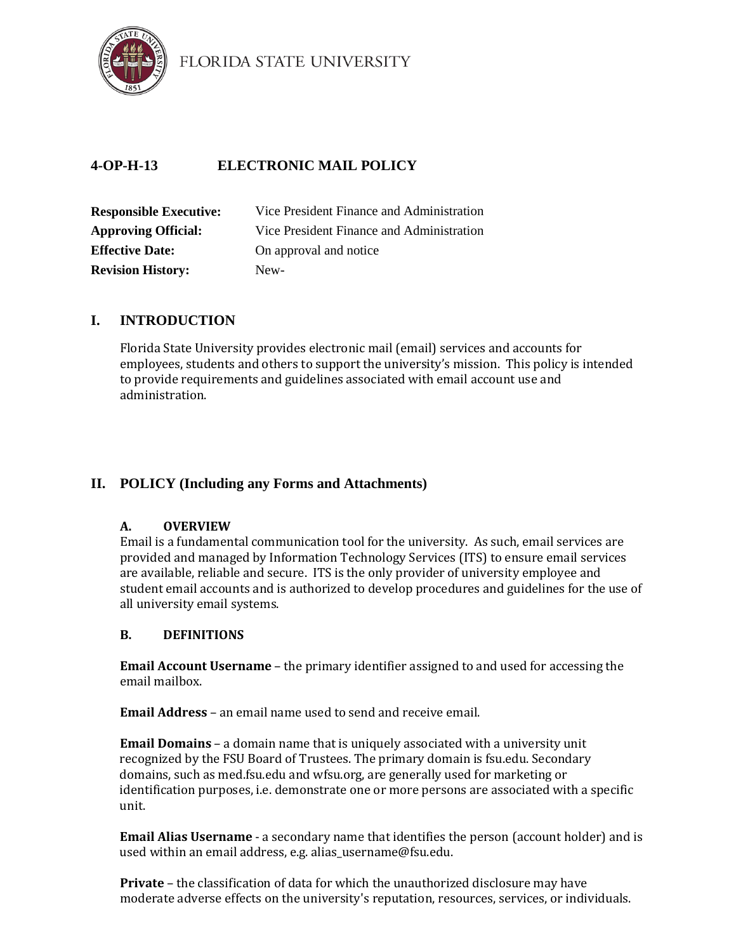

FLORIDA STATE UNIVERSITY

# **4-OP-H-13 ELECTRONIC MAIL POLICY**

| <b>Responsible Executive:</b> | Vice President Finance and Administration |
|-------------------------------|-------------------------------------------|
| <b>Approving Official:</b>    | Vice President Finance and Administration |
| <b>Effective Date:</b>        | On approval and notice                    |
| <b>Revision History:</b>      | New-                                      |

## **I. INTRODUCTION**

Florida State University provides electronic mail (email) services and accounts for employees, students and others to support the university's mission. This policy is intended to provide requirements and guidelines associated with email account use and administration.

# **II. POLICY (Including any Forms and Attachments)**

## **A. OVERVIEW**

Email is a fundamental communication tool for the university. As such, email services are provided and managed by Information Technology Services (ITS) to ensure email services are available, reliable and secure. ITS is the only provider of university employee and student email accounts and is authorized to develop procedures and guidelines for the use of all university email systems.

## **B. DEFINITIONS**

**Email Account Username** – the primary identifier assigned to and used for accessing the email mailbox.

**Email Address** – an email name used to send and receive email.

**Email Domains** – a domain name that is uniquely associated with a university unit recognized by the FSU Board of Trustees. The primary domain is fsu.edu. Secondary domains, such as med.fsu.edu and wfsu.org, are generally used for marketing or identification purposes, i.e. demonstrate one or more persons are associated with a specific unit.

**Email Alias Username** - a secondary name that identifies the person (account holder) and is used within an email address, e.g. alias\_username@fsu.edu.

**Private** – the classification of data for which the unauthorized disclosure may have moderate adverse effects on the university's reputation, resources, services, or individuals.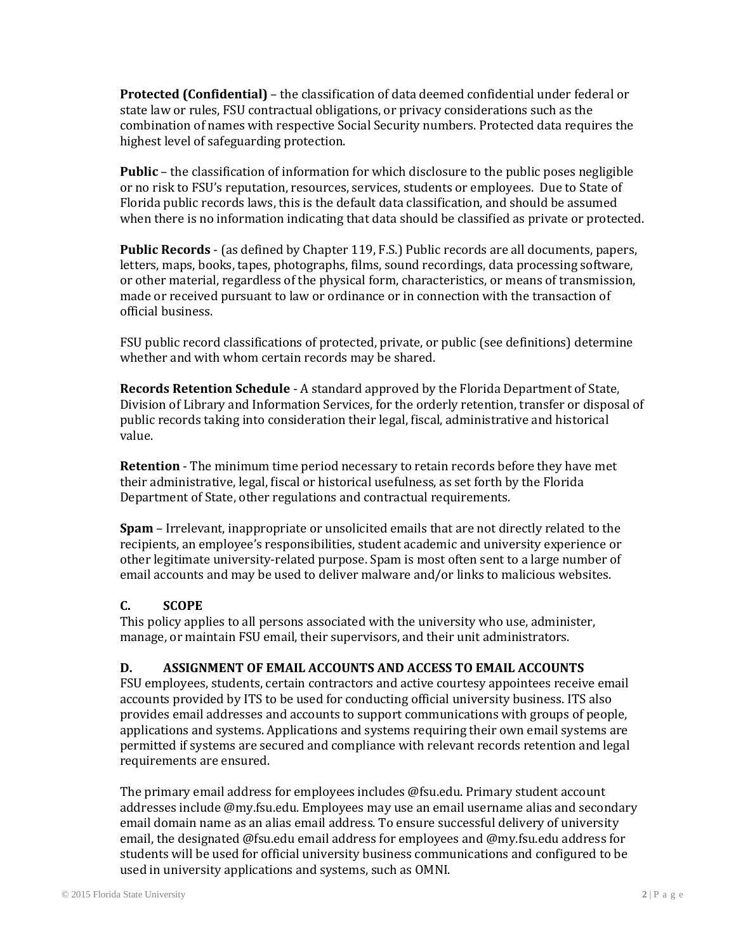**Protected (Confidential)** – the classification of data deemed confidential under federal or state law or rules, FSU contractual obligations, or privacy considerations such as the combination of names with respective Social Security numbers. Protected data requires the highest level of safeguarding protection.

**Public** – the classification of information for which disclosure to the public poses negligible or no risk to FSU's reputation, resources, services, students or employees. Due to State of Florida public records laws, this is the default data classification, and should be assumed when there is no information indicating that data should be classified as private or protected.

**Public Records** - (as defined by Chapter 119, F.S.) Public records are all documents, papers, letters, maps, books, tapes, photographs, films, sound recordings, data processing software, or other material, regardless of the physical form, characteristics, or means of transmission, made or received pursuant to law or ordinance or in connection with the transaction of official business.

FSU public record classifications of protected, private, or public (see definitions) determine whether and with whom certain records may be shared.

**Records Retention Schedule** - A standard approved by the Florida Department of State, Division of Library and Information Services, for the orderly retention, transfer or disposal of public records taking into consideration their legal, fiscal, administrative and historical value.

**Retention** - The minimum time period necessary to retain records before they have met their administrative, legal, fiscal or historical usefulness, as set forth by the Florida Department of State, other regulations and contractual requirements.

**Spam** – Irrelevant, inappropriate or unsolicited emails that are not directly related to the recipients, an employee's responsibilities, student academic and university experience or other legitimate university-related purpose. Spam is most often sent to a large number of email accounts and may be used to deliver malware and/or links to malicious websites.

## **C. SCOPE**

This policy applies to all persons associated with the university who use, administer, manage, or maintain FSU email, their supervisors, and their unit administrators.

## **D. ASSIGNMENT OF EMAIL ACCOUNTS AND ACCESS TO EMAIL ACCOUNTS**

FSU employees, students, certain contractors and active courtesy appointees receive email accounts provided by ITS to be used for conducting official university business. ITS also provides email addresses and accounts to support communications with groups of people, applications and systems. Applications and systems requiring their own email systems are permitted if systems are secured and compliance with relevant records retention and legal requirements are ensured.

The primary email address for employees includes @fsu.edu. Primary student account addresses include @my.fsu.edu. Employees may use an email username alias and secondary email domain name as an alias email address. To ensure successful delivery of university email, the designated @fsu.edu email address for employees and @my.fsu.edu address for students will be used for official university business communications and configured to be used in university applications and systems, such as OMNI.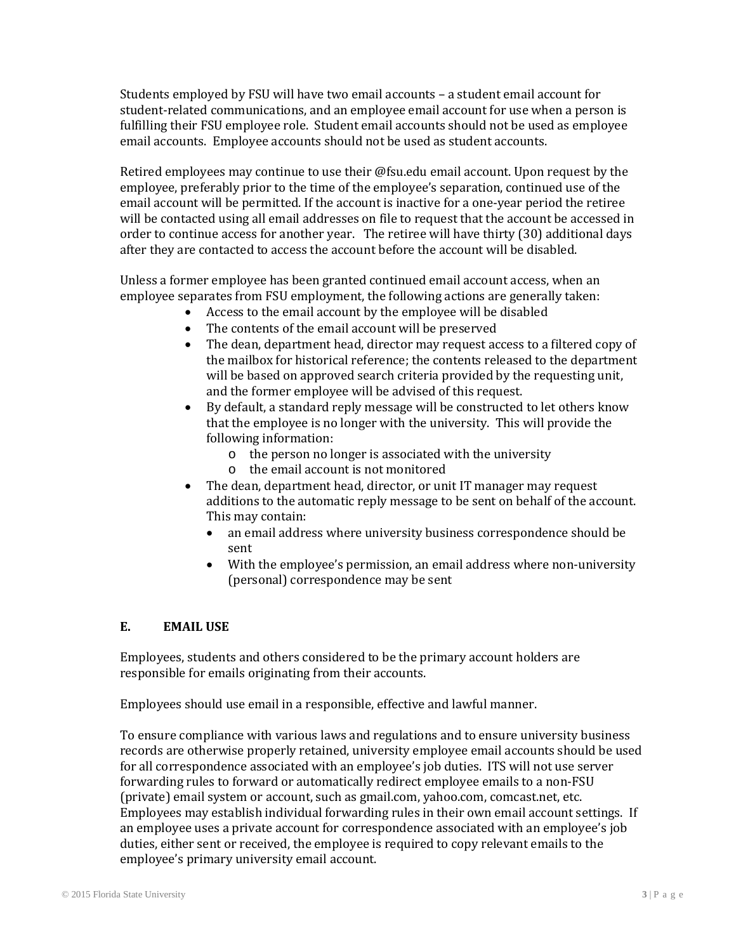Students employed by FSU will have two email accounts – a student email account for student-related communications, and an employee email account for use when a person is fulfilling their FSU employee role. Student email accounts should not be used as employee email accounts. Employee accounts should not be used as student accounts.

Retired employees may continue to use their @fsu.edu email account. Upon request by the employee, preferably prior to the time of the employee's separation, continued use of the email account will be permitted. If the account is inactive for a one-year period the retiree will be contacted using all email addresses on file to request that the account be accessed in order to continue access for another year. The retiree will have thirty (30) additional days after they are contacted to access the account before the account will be disabled.

Unless a former employee has been granted continued email account access, when an employee separates from FSU employment, the following actions are generally taken:

- Access to the email account by the employee will be disabled
- The contents of the email account will be preserved
- The dean, department head, director may request access to a filtered copy of the mailbox for historical reference; the contents released to the department will be based on approved search criteria provided by the requesting unit, and the former employee will be advised of this request.
- By default, a standard reply message will be constructed to let others know that the employee is no longer with the university. This will provide the following information:
	- o the person no longer is associated with the university
	- o the email account is not monitored
- The dean, department head, director, or unit IT manager may request additions to the automatic reply message to be sent on behalf of the account. This may contain:
	- an email address where university business correspondence should be sent
	- With the employee's permission, an email address where non-university (personal) correspondence may be sent

#### **E. EMAIL USE**

Employees, students and others considered to be the primary account holders are responsible for emails originating from their accounts.

Employees should use email in a responsible, effective and lawful manner.

To ensure compliance with various laws and regulations and to ensure university business records are otherwise properly retained, university employee email accounts should be used for all correspondence associated with an employee's job duties. ITS will not use server forwarding rules to forward or automatically redirect employee emails to a non-FSU (private) email system or account, such as gmail.com, yahoo.com, comcast.net, etc. Employees may establish individual forwarding rules in their own email account settings. If an employee uses a private account for correspondence associated with an employee's job duties, either sent or received, the employee is required to copy relevant emails to the employee's primary university email account.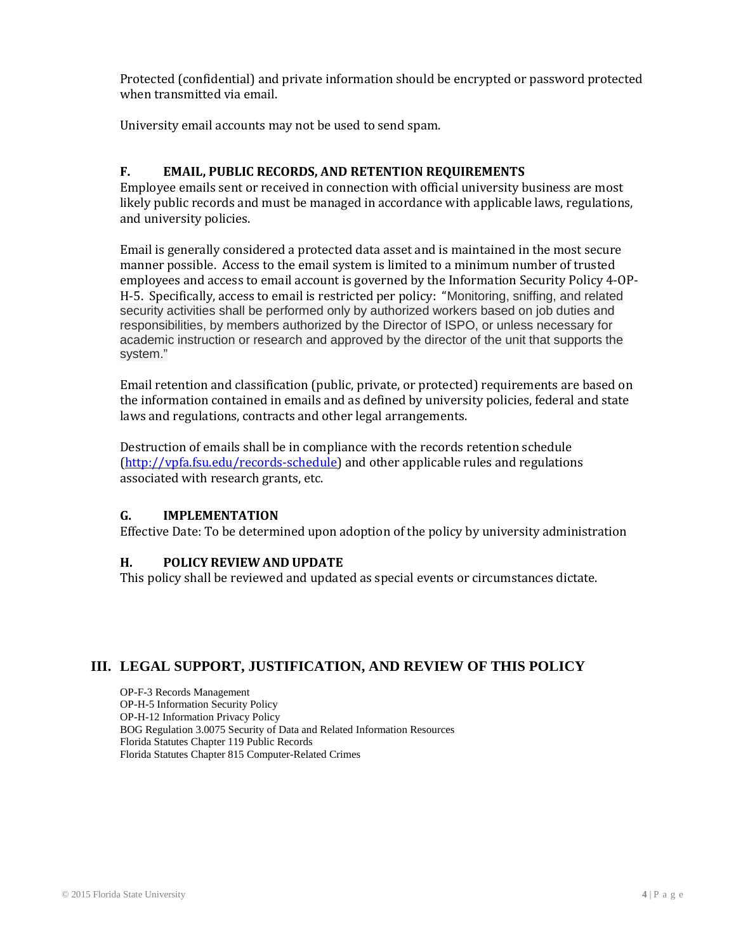Protected (confidential) and private information should be encrypted or password protected when transmitted via email.

University email accounts may not be used to send spam.

#### **F. EMAIL, PUBLIC RECORDS, AND RETENTION REQUIREMENTS**

Employee emails sent or received in connection with official university business are most likely public records and must be managed in accordance with applicable laws, regulations, and university policies.

Email is generally considered a protected data asset and is maintained in the most secure manner possible. Access to the email system is limited to a minimum number of trusted employees and access to email account is governed by the Information Security Policy 4-OP-H-5. Specifically, access to email is restricted per policy: "Monitoring, sniffing, and related security activities shall be performed only by authorized workers based on job duties and responsibilities, by members authorized by the Director of ISPO, or unless necessary for academic instruction or research and approved by the director of the unit that supports the system."

Email retention and classification (public, private, or protected) requirements are based on the information contained in emails and as defined by university policies, federal and state laws and regulations, contracts and other legal arrangements.

Destruction of emails shall be in compliance with the records retention schedule [\(http://vpfa.fsu.edu/records-schedule\)](http://vpfa.fsu.edu/records-schedule) and other applicable rules and regulations associated with research grants, etc.

#### **G. IMPLEMENTATION**

Effective Date: To be determined upon adoption of the policy by university administration

#### **H. POLICY REVIEW AND UPDATE**

This policy shall be reviewed and updated as special events or circumstances dictate.

## **III. LEGAL SUPPORT, JUSTIFICATION, AND REVIEW OF THIS POLICY**

OP-F-3 Records Management OP-H-5 Information Security Policy OP-H-12 Information Privacy Policy BOG Regulation 3.0075 Security of Data and Related Information Resources Florida Statutes Chapter 119 Public Records Florida Statutes Chapter 815 Computer-Related Crimes